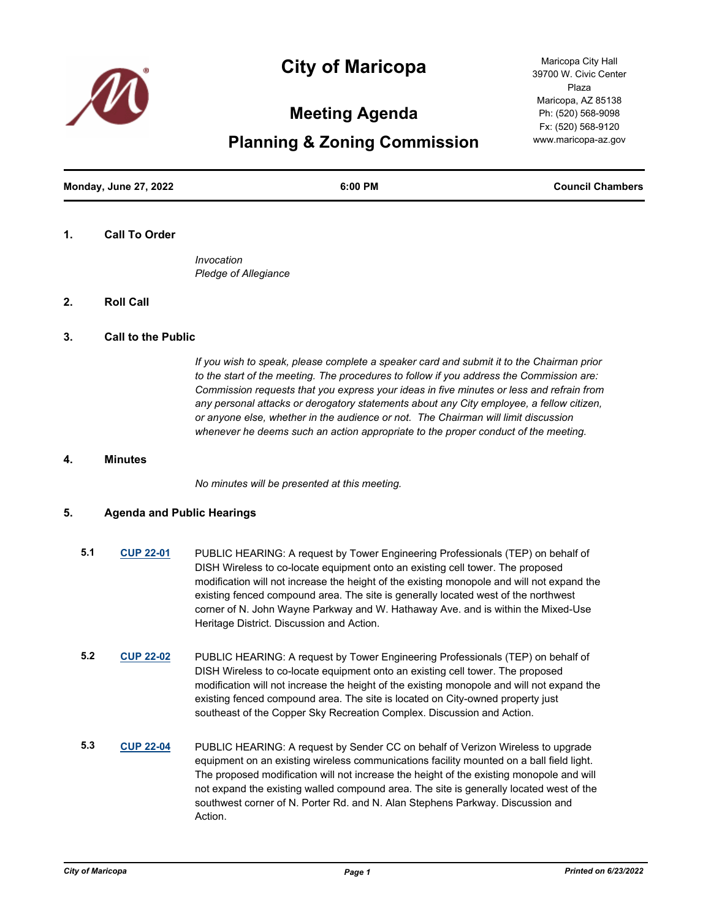

# **City of Maricopa**

# **Meeting Agenda**

**Planning & Zoning Commission**

**Monday, June 27, 2022 6:00 PM Council Chambers**

#### **1. Call To Order**

*Invocation Pledge of Allegiance*

# **2. Roll Call**

#### **3. Call to the Public**

*If you wish to speak, please complete a speaker card and submit it to the Chairman prior to the start of the meeting. The procedures to follow if you address the Commission are: Commission requests that you express your ideas in five minutes or less and refrain from any personal attacks or derogatory statements about any City employee, a fellow citizen, or anyone else, whether in the audience or not. The Chairman will limit discussion whenever he deems such an action appropriate to the proper conduct of the meeting.*

#### **4. Minutes**

*No minutes will be presented at this meeting.*

# **5. Agenda and Public Hearings**

- **5.1 [CUP 22-01](http://maricopa.legistar.com/gateway.aspx?m=l&id=/matter.aspx?key=11348)** PUBLIC HEARING: A request by Tower Engineering Professionals (TEP) on behalf of DISH Wireless to co-locate equipment onto an existing cell tower. The proposed modification will not increase the height of the existing monopole and will not expand the existing fenced compound area. The site is generally located west of the northwest corner of N. John Wayne Parkway and W. Hathaway Ave. and is within the Mixed-Use Heritage District. Discussion and Action.
- **5.2 [CUP 22-02](http://maricopa.legistar.com/gateway.aspx?m=l&id=/matter.aspx?key=11349)** PUBLIC HEARING: A request by Tower Engineering Professionals (TEP) on behalf of DISH Wireless to co-locate equipment onto an existing cell tower. The proposed modification will not increase the height of the existing monopole and will not expand the existing fenced compound area. The site is located on City-owned property just southeast of the Copper Sky Recreation Complex. Discussion and Action.
- **5.3 [CUP 22-04](http://maricopa.legistar.com/gateway.aspx?m=l&id=/matter.aspx?key=11350)** PUBLIC HEARING: A request by Sender CC on behalf of Verizon Wireless to upgrade equipment on an existing wireless communications facility mounted on a ball field light. The proposed modification will not increase the height of the existing monopole and will not expand the existing walled compound area. The site is generally located west of the southwest corner of N. Porter Rd. and N. Alan Stephens Parkway. Discussion and Action.

Maricopa City Hall 39700 W. Civic Center Plaza Maricopa, AZ 85138 Ph: (520) 568-9098 Fx: (520) 568-9120 www.maricopa-az.gov